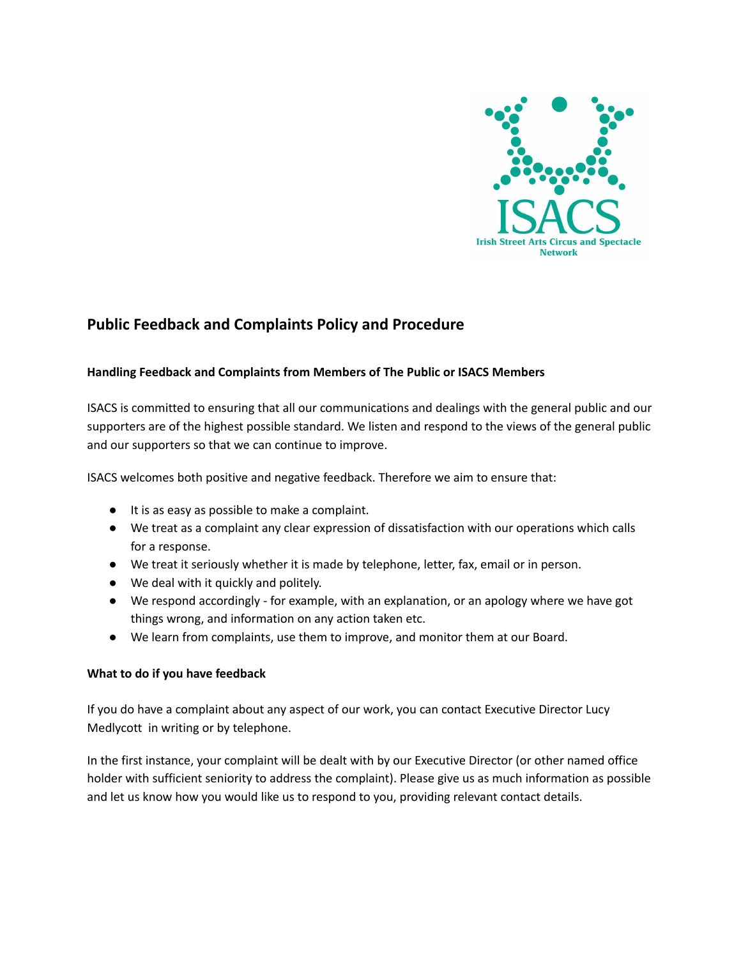

# **Public Feedback and Complaints Policy and Procedure**

# **Handling Feedback and Complaints from Members of The Public or ISACS Members**

ISACS is committed to ensuring that all our communications and dealings with the general public and our supporters are of the highest possible standard. We listen and respond to the views of the general public and our supporters so that we can continue to improve.

ISACS welcomes both positive and negative feedback. Therefore we aim to ensure that:

- It is as easy as possible to make a complaint.
- We treat as a complaint any clear expression of dissatisfaction with our operations which calls for a response.
- We treat it seriously whether it is made by telephone, letter, fax, email or in person.
- We deal with it quickly and politely.
- We respond accordingly for example, with an explanation, or an apology where we have got things wrong, and information on any action taken etc.
- We learn from complaints, use them to improve, and monitor them at our Board.

# **What to do if you have feedback**

If you do have a complaint about any aspect of our work, you can contact Executive Director Lucy Medlycott in writing or by telephone.

In the first instance, your complaint will be dealt with by our Executive Director (or other named office holder with sufficient seniority to address the complaint). Please give us as much information as possible and let us know how you would like us to respond to you, providing relevant contact details.